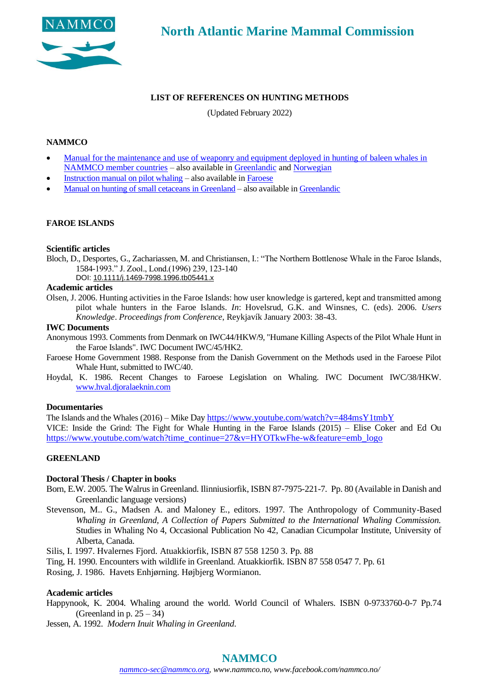

# **LIST OF REFERENCES ON HUNTING METHODS**

(Updated February 2022)

#### **NAMMCO**

- [Manual for the maintenance and use of weaponry and equipment deployed in hunting of baleen whales in](http://nammco.wpengine.com/wp-content/uploads/2017/02/manual-baleen-whales-grenade-and-harpoon.pdf)  [NAMMCO member countries](http://nammco.wpengine.com/wp-content/uploads/2017/02/manual-baleen-whales-grenade-and-harpoon.pdf) – also available in [Greenlandic](http://nammco.wpengine.com/wp-content/uploads/2016/10/manual-bardehvaler-greenlandic-version.pdf) an[d Norwegian](http://nammco.wpengine.com/wp-content/uploads/2016/10/manual-for-bardehvaler-med-hvalkanon-og-granat-norsk.pdf)
- [Instruction manual on pilot whaling](http://nammco.wpengine.com/wp-content/uploads/2016/10/manual-on-pilot-whaling-english-version.pdf) also available i[n Faroese](http://nammco.wpengine.com/wp-content/uploads/2016/10/manual-on-pilot-whaling-faroese-version.pdf)
- [Manual on hunting of small cetaceans in Greenland](http://nammco.wpengine.com/wp-content/uploads/2016/10/manual-small-cetaceans-greenland-eng.pdf) also available i[n Greenlandic](http://nammco.wpengine.com/wp-content/uploads/2016/10/manual-small-cetaceans-in-greenland-grl.pdf)

#### **FAROE ISLANDS**

#### **Scientific articles**

- Bloch, D., Desportes, G., Zachariassen, M. and Christiansen, I.: "The Northern Bottlenose Whale in the Faroe Islands, 1584-1993." J. Zool., Lond.(1996) 239, 123-140
	- DOI: [10.1111/j.1469-7998.1996.tb05441.x](http://dx.doi.org/10.1111/j.1469-7998.1996.tb05441.x)

#### **Academic articles**

Olsen, J. 2006. Hunting activities in the Faroe Islands: how user knowledge is gartered, kept and transmitted among pilot whale hunters in the Faroe Islands. *In*: Hovelsrud, G.K. and Winsnes, C. (eds). 2006. *Users Knowledge*. *Proceedings from Conference*, Reykjavík January 2003: 38-43.

#### **IWC Documents**

- Anonymous 1993. Comments from Denmark on IWC44/HKW/9, "Humane Killing Aspects of the Pilot Whale Hunt in the Faroe Islands". IWC Document IWC/45/HK2.
- Faroese Home Government 1988. Response from the Danish Government on the Methods used in the Faroese Pilot Whale Hunt, submitted to IWC/40.
- Hoydal, K. 1986. Recent Changes to Faroese Legislation on Whaling. IWC Document IWC/38/HKW. [www.hval.djoralaeknin.com](http://www.hval.djoralaeknin.com/)

#### **Documentaries**

The Islands and the Whales (2016) – Mike Day <https://www.youtube.com/watch?v=484msY1tmbY> VICE: Inside the Grind: The Fight for Whale Hunting in the Faroe Islands (2015) – Elise Coker and Ed Ou [https://www.youtube.com/watch?time\\_continue=27&v=HYOTkwFhe-w&feature=emb\\_logo](https://www.youtube.com/watch?time_continue=27&v=HYOTkwFhe-w&feature=emb_logo)

#### **GREENLAND**

### **Doctoral Thesis / Chapter in books**

- Born, E.W. 2005. The Walrus in Greenland. Ilinniusiorfik, ISBN 87-7975-221-7. Pp. 80 (Available in Danish and Greenlandic language versions)
- Stevenson, M.. G., Madsen A. and Maloney E., editors. 1997. The Anthropology of Community-Based *Whaling in Greenland, A Collection of Papers Submitted to the International Whaling Commission.* Studies in Whaling No 4, Occasional Publication No 42, Canadian Cicumpolar Institute, University of Alberta, Canada.

Silis, I. 1997. Hvalernes Fjord. Atuakkiorfik, ISBN 87 558 1250 3. Pp. 88

Ting, H. 1990. Encounters with wildlife in Greenland. Atuakkiorfik. ISBN 87 558 0547 7. Pp. 61

Rosing, J. 1986. Havets Enhjørning. Højbjerg Wormianon.

#### **Academic articles**

Happynook, K. 2004. Whaling around the world. World Council of Whalers. ISBN 0-9733760-0-7 Pp.74 (Greenland in p.  $25 - 34$ )

Jessen, A. 1992. *Modern Inuit Whaling in Greenland*.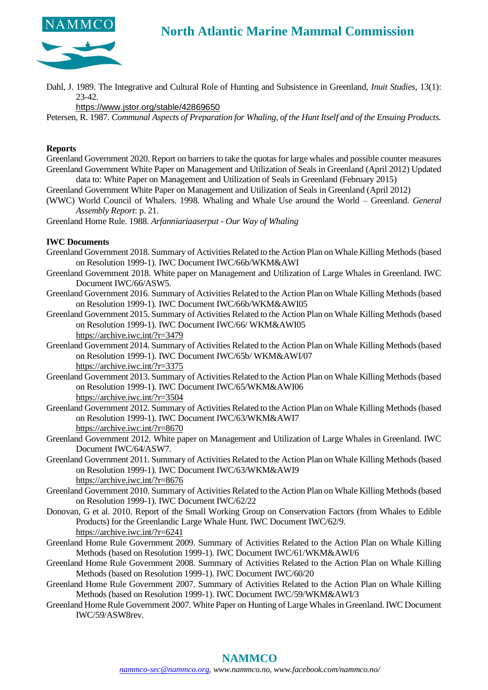

Dahl, J. 1989. The Integrative and Cultural Role of Hunting and Subsistence in Greenland, *Inuit Studies*, 13(1): 23-42.

<https://www.jstor.org/stable/42869650>

Petersen, R. 1987. *Communal Aspects of Preparation for Whaling, of the Hunt Itself and of the Ensuing Products.*

## **Reports**

Greenland Government 2020. Report on barriers to take the quotas for large whales and possible counter measures Greenland Government White Paper on Management and Utilization of Seals in Greenland (April 2012) Updated data to: White Paper on Management and Utilization of Seals in Greenland (February 2015)

- Greenland Government White Paper on Management and Utilization of Seals in Greenland (April 2012)
- (WWC) World Council of Whalers. 1998. Whaling and Whale Use around the World Greenland. *General Assembly Report*: p. 21.

Greenland Home Rule. 1988. *Arfanniariaaserput - Our Way of Whaling*

## **IWC Documents**

- Greenland Government 2018. Summary of Activities Related to the Action Plan on Whale Killing Methods (based on Resolution 1999-1). IWC Document IWC/66b/WKM&AWI
- Greenland Government 2018. White paper on Management and Utilization of Large Whales in Greenland. IWC Document IWC/66/ASW5.
- Greenland Government 2016. Summary of Activities Related to the Action Plan on Whale Killing Methods (based on Resolution 1999-1). IWC Document IWC/66b/WKM&AWI05
- Greenland Government 2015. Summary of Activities Related to the Action Plan on Whale Killing Methods (based on Resolution 1999-1). IWC Document IWC/66/ WKM&AWI05 <https://archive.iwc.int/?r=3479>
- Greenland Government 2014. Summary of Activities Related to the Action Plan on Whale Killing Methods (based on Resolution 1999-1). IWC Document IWC/65b/ WKM&AWI/07 <https://archive.iwc.int/?r=3375>
- Greenland Government 2013. Summary of Activities Related to the Action Plan on Whale Killing Methods (based on Resolution 1999-1). IWC Document IWC/65/WKM&AWI06 <https://archive.iwc.int/?r=3504>
- Greenland Government 2012. Summary of Activities Related to the Action Plan on Whale Killing Methods (based on Resolution 1999-1). IWC Document IWC/63/WKM&AWI7 <https://archive.iwc.int/?r=8670>
- Greenland Government 2012. White paper on Management and Utilization of Large Whales in Greenland. IWC Document IWC/64/ASW7.
- Greenland Government 2011. Summary of Activities Related to the Action Plan on Whale Killing Methods (based on Resolution 1999-1). IWC Document IWC/63/WKM&AWI9 <https://archive.iwc.int/?r=8676>
- Greenland Government 2010. Summary of Activities Related to the Action Plan on Whale Killing Methods (based on Resolution 1999-1). IWC Document IWC/62/22
- Donovan, G et al. 2010. Report of the Small Working Group on Conservation Factors (from Whales to Edible Products) for the Greenlandic Large Whale Hunt. IWC Document IWC/62/9. <https://archive.iwc.int/?r=6241>
- Greenland Home Rule Government 2009. Summary of Activities Related to the Action Plan on Whale Killing Methods (based on Resolution 1999-1). IWC Document IWC/61/WKM&AWI/6
- Greenland Home Rule Government 2008. Summary of Activities Related to the Action Plan on Whale Killing Methods (based on Resolution 1999-1). IWC Document IWC/60/20
- Greenland Home Rule Government 2007. Summary of Activities Related to the Action Plan on Whale Killing Methods (based on Resolution 1999-1). IWC Document IWC/59/WKM&AWI/3
- Greenland Home Rule Government 2007. White Paper on Hunting of Large Whales in Greenland. IWC Document IWC/59/ASW8rev.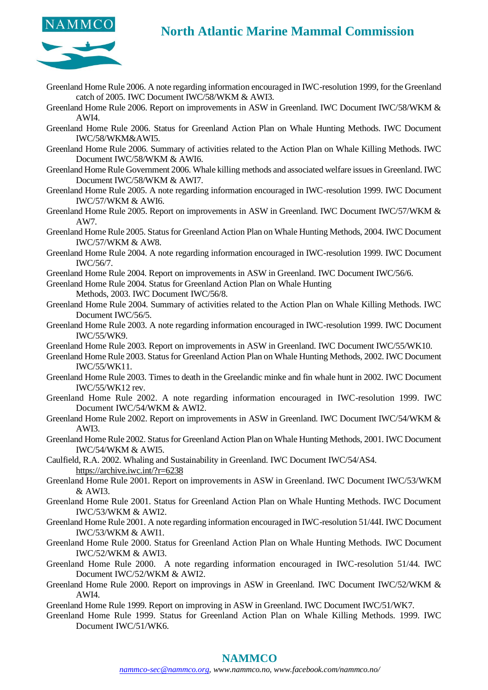

- Greenland Home Rule 2006. A note regarding information encouraged in IWC-resolution 1999, for the Greenland catch of 2005. IWC Document IWC/58/WKM & AWI3.
- Greenland Home Rule 2006. Report on improvements in ASW in Greenland. IWC Document IWC/58/WKM & AWI4.
- Greenland Home Rule 2006. Status for Greenland Action Plan on Whale Hunting Methods. IWC Document IWC/58/WKM&AWI5.
- Greenland Home Rule 2006. Summary of activities related to the Action Plan on Whale Killing Methods. IWC Document IWC/58/WKM & AWI6.
- Greenland Home Rule Government 2006. Whale killing methods and associated welfare issues in Greenland. IWC Document IWC/58/WKM & AWI7.
- Greenland Home Rule 2005. A note regarding information encouraged in IWC-resolution 1999. IWC Document IWC/57/WKM & AWI6.
- Greenland Home Rule 2005. Report on improvements in ASW in Greenland. IWC Document IWC/57/WKM & AW7.
- Greenland Home Rule 2005. Status for Greenland Action Plan on Whale Hunting Methods, 2004. IWC Document IWC/57/WKM & AW8.
- Greenland Home Rule 2004. A note regarding information encouraged in IWC-resolution 1999. IWC Document IWC/56/7.
- Greenland Home Rule 2004. Report on improvements in ASW in Greenland. IWC Document IWC/56/6.
- Greenland Home Rule 2004. Status for Greenland Action Plan on Whale Hunting Methods, 2003. IWC Document IWC/56/8.
- Greenland Home Rule 2004. Summary of activities related to the Action Plan on Whale Killing Methods. IWC Document IWC/56/5.
- Greenland Home Rule 2003. A note regarding information encouraged in IWC-resolution 1999. IWC Document IWC/55/WK9.
- Greenland Home Rule 2003. Report on improvements in ASW in Greenland. IWC Document IWC/55/WK10.
- Greenland Home Rule 2003. Status for Greenland Action Plan on Whale Hunting Methods, 2002. IWC Document IWC/55/WK11.
- Greenland Home Rule 2003. Times to death in the Greelandic minke and fin whale hunt in 2002. IWC Document IWC/55/WK12 rev.
- Greenland Home Rule 2002. A note regarding information encouraged in IWC-resolution 1999. IWC Document IWC/54/WKM & AWI2.
- Greenland Home Rule 2002. Report on improvements in ASW in Greenland. IWC Document IWC/54/WKM & AWI3.
- Greenland Home Rule 2002. Status for Greenland Action Plan on Whale Hunting Methods, 2001. IWC Document IWC/54/WKM & AWI5.
- Caulfield, R.A. 2002. Whaling and Sustainability in Greenland. IWC Document IWC/54/AS4. <https://archive.iwc.int/?r=6238>
- Greenland Home Rule 2001. Report on improvements in ASW in Greenland. IWC Document IWC/53/WKM  $&$  AWI3.
- Greenland Home Rule 2001. Status for Greenland Action Plan on Whale Hunting Methods. IWC Document IWC/53/WKM & AWI2.
- Greenland Home Rule 2001. A note regarding information encouraged in IWC-resolution 51/44I. IWC Document IWC/53/WKM & AWI1.
- Greenland Home Rule 2000. Status for Greenland Action Plan on Whale Hunting Methods. IWC Document IWC/52/WKM & AWI3.
- Greenland Home Rule 2000. A note regarding information encouraged in IWC-resolution 51/44. IWC Document IWC/52/WKM & AWI2.
- Greenland Home Rule 2000. Report on improvings in ASW in Greenland. IWC Document IWC/52/WKM & AWI4.
- Greenland Home Rule 1999. Report on improving in ASW in Greenland. IWC Document IWC/51/WK7.
- Greenland Home Rule 1999. Status for Greenland Action Plan on Whale Killing Methods. 1999. IWC Document IWC/51/WK6.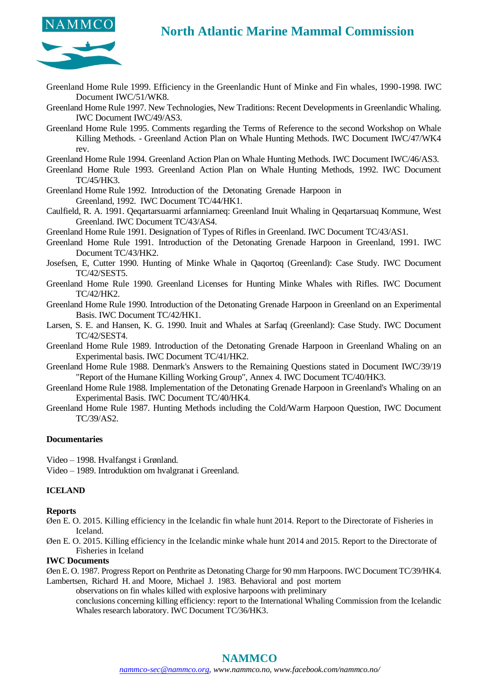



- Greenland Home Rule 1999. Efficiency in the Greenlandic Hunt of Minke and Fin whales, 1990-1998. IWC Document IWC/51/WK8.
- Greenland Home Rule 1997. New Technologies, New Traditions: Recent Developments in Greenlandic Whaling. IWC Document IWC/49/AS3.
- Greenland Home Rule 1995. Comments regarding the Terms of Reference to the second Workshop on Whale Killing Methods. - Greenland Action Plan on Whale Hunting Methods. IWC Document IWC/47/WK4 rev.
- Greenland Home Rule 1994. Greenland Action Plan on Whale Hunting Methods. IWC Document IWC/46/AS3.
- Greenland Home Rule 1993. Greenland Action Plan on Whale Hunting Methods, 1992. IWC Document TC/45/HK3.
- Greenland Home Rule 1992. Introduction of the Detonating Grenade Harpoon in Greenland, 1992. IWC Document TC/44/HK1.
- Caulfield, R. A. 1991. Qeqartarsuarmi arfanniarneq: Greenland Inuit Whaling in Qeqartarsuaq Kommune, West Greenland. IWC Document TC/43/AS4.
- Greenland Home Rule 1991. Designation of Types of Rifles in Greenland. IWC Document TC/43/AS1.
- Greenland Home Rule 1991. Introduction of the Detonating Grenade Harpoon in Greenland, 1991. IWC Document TC/43/HK2.
- Josefsen, E, Cutter 1990. Hunting of Minke Whale in Qaqortoq (Greenland): Case Study. IWC Document TC/42/SEST5.
- Greenland Home Rule 1990. Greenland Licenses for Hunting Minke Whales with Rifles. IWC Document TC/42/HK2.
- Greenland Home Rule 1990. Introduction of the Detonating Grenade Harpoon in Greenland on an Experimental Basis. IWC Document TC/42/HK1.
- Larsen, S. E. and Hansen, K. G. 1990. Inuit and Whales at Sarfaq (Greenland): Case Study. IWC Document TC/42/SEST4.
- Greenland Home Rule 1989. Introduction of the Detonating Grenade Harpoon in Greenland Whaling on an Experimental basis. IWC Document TC/41/HK2.
- Greenland Home Rule 1988. Denmark's Answers to the Remaining Questions stated in Document IWC/39/19 "Report of the Humane Killing Working Group", Annex 4. IWC Document TC/40/HK3.
- Greenland Home Rule 1988. Implementation of the Detonating Grenade Harpoon in Greenland's Whaling on an Experimental Basis. IWC Document TC/40/HK4.
- Greenland Home Rule 1987. Hunting Methods including the Cold/Warm Harpoon Question, IWC Document TC/39/AS2.

## **Documentaries**

Video – 1998. Hvalfangst i Grønland.

Video – 1989. Introduktion om hvalgranat i Greenland.

## **ICELAND**

## **Reports**

- Øen E. O. 2015. Killing efficiency in the Icelandic fin whale hunt 2014. Report to the Directorate of Fisheries in Iceland.
- Øen E. O. 2015. Killing efficiency in the Icelandic minke whale hunt 2014 and 2015. Report to the Directorate of Fisheries in Iceland

## **IWC Documents**

Øen E. O. 1987. Progress Report on Penthrite as Detonating Charge for 90 mm Harpoons. IWC Document TC/39/HK4. Lambertsen, Richard H. and Moore, Michael J. 1983. Behavioral and post mortem

observations on fin whales killed with explosive harpoons with preliminary

conclusions concerning killing efficiency: report to the International Whaling Commission from the Icelandic Whales research laboratory. IWC Document TC/36/HK3.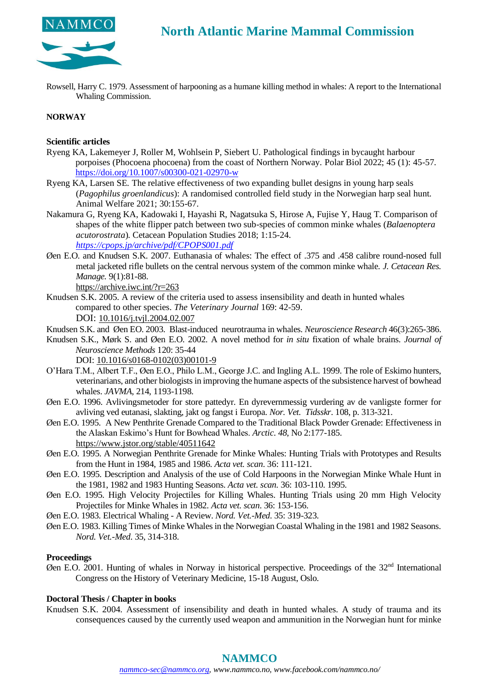

Rowsell, Harry C. 1979. Assessment of harpooning as a humane killing method in whales: A report to the International Whaling Commission.

# **NORWAY**

# **Scientific articles**

- Ryeng KA, Lakemeyer J, Roller M, Wohlsein P, Siebert U. Pathological findings in bycaught harbour porpoises (Phocoena phocoena) from the coast of Northern Norway. Polar Biol 2022; 45 (1): 45-57. <https://doi.org/10.1007/s00300-021-02970-w>
- Ryeng KA, Larsen SE. The relative effectiveness of two expanding bullet designs in young harp seals (*Pagophilus groenlandicus*): A randomised controlled field study in the Norwegian harp seal hunt. Animal Welfare 2021; 30:155-67.
- Nakamura G, Ryeng KA, Kadowaki I, Hayashi R, Nagatsuka S, Hirose A, Fujise Y, Haug T. Comparison of shapes of the white flipper patch between two sub-species of common minke whales (*Balaenoptera acutorostrata*). Cetacean Population Studies 2018; 1:15-24. *<https://cpops.jp/archive/pdf/CPOPS001.pdf>*
- Øen E.O. and Knudsen S.K. 2007. Euthanasia of whales: The effect of .375 and .458 calibre round-nosed full metal jacketed rifle bullets on the central nervous system of the common minke whale. *J. Cetacean Res. Manage.* 9(1):81-88.

<https://archive.iwc.int/?r=263>

- Knudsen S.K. 2005. A review of the criteria used to assess insensibility and death in hunted whales compared to other species. *The Veterinary Journal* 169: 42-59. DOI: [10.1016/j.tvjl.2004.02.007](https://doi.org/10.1016/j.tvjl.2004.02.007)
- Knudsen S.K. and Øen EO. 2003. Blast-induced neurotrauma in whales. *Neuroscience Research* 46(3):265-386.
- Knudsen S.K., Mørk S. and Øen E.O. 2002. A novel method for *in situ* fixation of whale brains. *Journal of Neuroscience Methods* 120: 35-44 DOI: [10.1016/s0168-0102\(03\)00101-9](https://doi.org/10.1016/s0168-0102(03)00101-9)
- O'Hara T.M., Albert T.F., Øen E.O., Philo L.M., George J.C. and Ingling A.L. 1999. The role of Eskimo hunters, veterinarians, and other biologists in improving the humane aspects of the subsistence harvest of bowhead whales. *JAVMA*, 214, 1193-1198.
- Øen E.O. 1996. Avlivingsmetoder for store pattedyr. En dyrevernmessig vurdering av de vanligste former for avliving ved eutanasi, slakting, jakt og fangst i Europa. *Nor. Vet. Tidsskr*. 108, p. 313-321.
- Øen E.O. 1995. A New Penthrite Grenade Compared to the Traditional Black Powder Grenade: Effectiveness in the Alaskan Eskimo's Hunt for Bowhead Whales. *Arctic*. *48*, No 2:177-185. <https://www.jstor.org/stable/40511642>
- Øen E.O. 1995. A Norwegian Penthrite Grenade for Minke Whales: Hunting Trials with Prototypes and Results from the Hunt in 1984, 1985 and 1986. *Acta vet. scan*. 36: 111-121.
- Øen E.O. 1995. Description and Analysis of the use of Cold Harpoons in the Norwegian Minke Whale Hunt in the 1981, 1982 and 1983 Hunting Seasons. *Acta vet. scan.* 36: 103-110. 1995.
- Øen E.O. 1995. High Velocity Projectiles for Killing Whales. Hunting Trials using 20 mm High Velocity Projectiles for Minke Whales in 1982. *Acta vet. scan*. 36: 153-156.
- Øen E.O. 1983. Electrical Whaling A Review. *Nord. Vet.-Med*. 35: 319-323.
- Øen E.O. 1983. Killing Times of Minke Whales in the Norwegian Coastal Whaling in the 1981 and 1982 Seasons. *Nord. Vet.-Med*. 35, 314-318.

## **Proceedings**

Øen E.O. 2001. Hunting of whales in Norway in historical perspective. Proceedings of the  $32<sup>nd</sup>$  International Congress on the History of Veterinary Medicine, 15-18 August, Oslo.

## **Doctoral Thesis / Chapter in books**

Knudsen S.K. 2004. Assessment of insensibility and death in hunted whales. A study of trauma and its consequences caused by the currently used weapon and ammunition in the Norwegian hunt for minke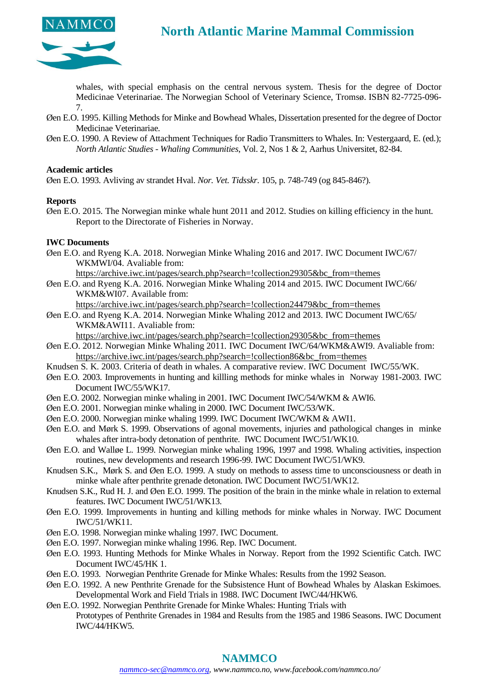

whales, with special emphasis on the central nervous system. Thesis for the degree of Doctor Medicinae Veterinariae. The Norwegian School of Veterinary Science, Tromsø. ISBN 82-7725-096- 7.

- Øen E.O. 1995. Killing Methods for Minke and Bowhead Whales, Dissertation presented for the degree of Doctor Medicinae Veterinariae.
- Øen E.O. 1990. A Review of Attachment Techniques for Radio Transmitters to Whales. In: Vestergaard, E. (ed.); *North Atlantic Studies - Whaling Communities*, Vol. 2, Nos 1 & 2, Aarhus Universitet, 82-84.

#### **Academic articles**

Øen E.O. 1993. Avliving av strandet Hval. *Nor. Vet. Tidsskr*. 105, p. 748-749 (og 845-846?).

#### **Reports**

Øen E.O. 2015. The Norwegian minke whale hunt 2011 and 2012. Studies on killing efficiency in the hunt. Report to the Directorate of Fisheries in Norway.

#### **IWC Documents**

Øen E.O. and Ryeng K.A. 2018. Norwegian Minke Whaling 2016 and 2017. IWC Document IWC/67/ WKMWI/04. Avaliable from:

[https://archive.iwc.int/pages/search.php?search=!collection29305&bc\\_from=themes](https://archive.iwc.int/pages/search.php?search=!collection29305&bc_from=themes)

Øen E.O. and Ryeng K.A. 2016. Norwegian Minke Whaling 2014 and 2015. IWC Document IWC/66/ WKM&WI07. Available from:

[https://archive.iwc.int/pages/search.php?search=!collection24479&bc\\_from=themes](https://archive.iwc.int/pages/search.php?search=!collection24479&bc_from=themes)

Øen E.O. and Ryeng K.A. 2014. Norwegian Minke Whaling 2012 and 2013. IWC Document IWC/65/ WKM&AWI11. Avaliable from:

[https://archive.iwc.int/pages/search.php?search=!collection29305&bc\\_from=themes](https://archive.iwc.int/pages/search.php?search=!collection29305&bc_from=themes)

- Øen E.O. 2012. Norwegian Minke Whaling 2011. IWC Document IWC/64/WKM&AWI9. Avaliable from: [https://archive.iwc.int/pages/search.php?search=!collection86&bc\\_from=themes](https://archive.iwc.int/pages/search.php?search=!collection86&bc_from=themes)
- Knudsen S. K. 2003. Criteria of death in whales. A comparative review. IWC Document IWC/55/WK.
- Øen E.O. 2003. Improvements in hunting and killling methods for minke whales in Norway 1981-2003. IWC Document IWC/55/WK17.
- Øen E.O. 2002. Norwegian minke whaling in 2001. IWC Document IWC/54/WKM & AWI6.
- Øen E.O. 2001. Norwegian minke whaling in 2000. IWC Document IWC/53/WK.
- Øen E.O. 2000. Norwegian minke whaling 1999. IWC Document IWC/WKM & AWI1.
- Øen E.O. and Mørk S. 1999. Observations of agonal movements, injuries and pathological changes in minke whales after intra-body detonation of penthrite. IWC Document IWC/51/WK10.
- Øen E.O. and Walløe L. 1999. Norwegian minke whaling 1996, 1997 and 1998. Whaling activities, inspection routines, new developments and research 1996-99. IWC Document IWC/51/WK9.
- Knudsen S.K., Mørk S. and Øen E.O. 1999. A study on methods to assess time to unconsciousness or death in minke whale after penthrite grenade detonation. IWC Document IWC/51/WK12.
- Knudsen S.K., Rud H. J. and Øen E.O. 1999. The position of the brain in the minke whale in relation to external features. IWC Document IWC/51/WK13.
- Øen E.O. 1999. Improvements in hunting and killing methods for minke whales in Norway. IWC Document IWC/51/WK11.
- Øen E.O. 1998. Norwegian minke whaling 1997. IWC Document.
- Øen E.O. 1997. Norwegian minke whaling 1996. Rep. IWC Document.
- Øen E.O. 1993. Hunting Methods for Minke Whales in Norway. Report from the 1992 Scientific Catch. IWC Document IWC/45/HK 1.
- Øen E.O. 1993. Norwegian Penthrite Grenade for Minke Whales: Results from the 1992 Season.
- Øen E.O. 1992. A new Penthrite Grenade for the Subsistence Hunt of Bowhead Whales by Alaskan Eskimoes. Developmental Work and Field Trials in 1988. IWC Document IWC/44/HKW6.
- Øen E.O. 1992. Norwegian Penthrite Grenade for Minke Whales: Hunting Trials with Prototypes of Penthrite Grenades in 1984 and Results from the 1985 and 1986 Seasons. IWC Document IWC/44/HKW5.